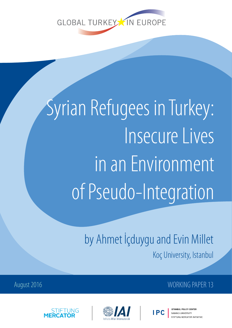

# Syrian Refugees in Turkey: Insecure Lives in an Environment of Pseudo-Integration

by Ahmet İçduygu and Evin Millet Koç University, Istanbul

### August 2016 November 2016 November 2016 November 2016 November 2016





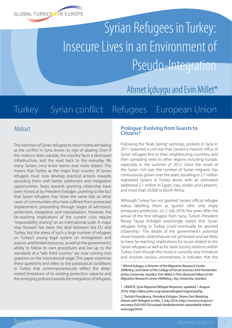

# Syrian Refugees in Turkey: Insecure Lives in an Environment of Pseudo-Integration

Ahmet İçduygu and Evin Millet\*

## Turkey Syrian conflict Refugees European Union

#### Abstract

The intention of Syrian refugees to return home are fading as the conflict in Syria shows no sign of abating. Even if the violence does subside, the country faces a destroyed infrastructure, and the road back to the everyday life many Syrians once knew seems ever more distant. This means that Turkey as the major host country of Syrian refugees must now develop practical actions towards providing them with better settlement and integration opportunities. Steps towards granting citizenship have been hinted at by President Erdoğan, pointing to the fact that Syrian refugees may share the same fate as other cases of communities who have suffered from protracted displacement, proceeding through stages of admission, settlement, integration and naturalisation. However, the far-reaching implications of the current crisis require "responsibility sharing" on an international scale. A major step forward has been the deal between the EU and Turkey, but the stress of such a large number of refugees on Turkey's young legal system on immigration and asylum, and limited resources, as well as the government's ability to follow its own procedures and live up to the standards of a "safe third country" are now coming into question on the international stage. This paper examines these questions and refers to the paradoxical conditions in Turkey that contemporaneously reflect the deeprooted limitations of its existing protection capacity and the emerging policies towards the integration of refugees.

#### Prologue: Evolving from Guests to Citizens?

Following the "Arab Spring" uprisings, protests in Syria in 2011 spawned a civil war that caused a massive influx of Syrian refugees first to their neighbouring countries, and then spreading west to other regions including Europe, especially in the summer of 2015. Since the onset of the Syrian civil war, the number of Syrian migrants has continuously grown over the years, resulting in 2.7 million registered Syrians in Turkey alone, with an estimated additional 2.1 million in Egypt, Iraq, Jordan and Lebanon, and more than 29,000 in North Africa.<sup>1</sup>

Although Turkey has not granted Syrians official refugee status, labelling them as "guests" who only enjoy temporary protection, on 2 July 2016, five years after the arrival of the first refugees from Syria, Turkish President Recep Tayyip Erdoğan surprisingly stated that Syrian refugees living in Turkey could eventually be granted citizenship.2 The details of the government's potential move towards citizenship are not yet known and are likely to have far-reaching implications for issues related to the Syrian refugees as well as for state-society relations within Turkey. Even though this move is currently very immature and involves various uncertainties, it indicates that the

\* *Ahmet İçduygu is Director of the Migration Research Center (MiReKoç) and Dean of the College of Social Sciences and Humanities at Koç University, Istanbul. Evin Millet is Post-doctoral Fellow at the Migration Research Center (MiReKoç), Koç University, Istanbul.*

1 UNHCR, *Syria Regional Refugee Response*, updated 1 August 2016,<http://data.unhcr.org/syrianrefugees/regional.php>.

<sup>2</sup> Turkish Presidency, *President Erdoğan Shares Fast-Breaking Dinner with Refugees in Kilis*, 2 July 2016, [http://www.tccb.gov.tr/](http://www.tccb.gov.tr/en/news/542/45576/suriyeli-kardeslerimize-vatandaslik-imkni-verecegiz.html) [en/news/542/45576/suriyeli-kardeslerimize-vatandaslik-imkni](http://www.tccb.gov.tr/en/news/542/45576/suriyeli-kardeslerimize-vatandaslik-imkni-verecegiz.html)[verecegiz.html.](http://www.tccb.gov.tr/en/news/542/45576/suriyeli-kardeslerimize-vatandaslik-imkni-verecegiz.html)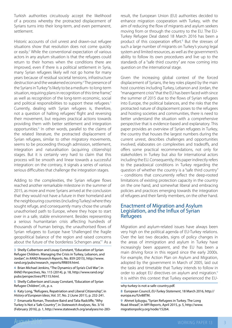Turkish authorities circuitously accept the likelihood of a process whereby the protracted displacement of Syrians turns into their long-term, and even permanent, settlement.

Historic accounts of civil unrest and drawn-out refugee situations show that resolution does not come quickly or easily.<sup>3</sup> While the conventional expectation of various actors in any asylum situation is that the refugees could return to their homes when the conditions there are improved, even if there is a political settlement in Syria, many Syrian refugees likely will not go home for many years because of residual societal tensions, infrastructure destruction and the weakened economy.4 The presence of the Syrians in Turkey "is likely to be a medium- to long-term situation, requiring plans in recognition of this time frame," as well as recognition of the long-term economic, social and political responsibilities to support these refugees.<sup>5</sup> Currently, dealing with Syrian refugees is, therefore, not a question of halting refugees' flight and reversing their movement, but requires practical actions towards providing them with better settlement and integration opportunities.<sup>6</sup> In other words, parallel to the claims of the related literature, the protracted displacement of Syrian refugees, similar to other migratory movements, seems to be proceeding through admission, settlement, integration and naturalisation (acquiring citizenship) stages. But it is certainly very hard to claim that this process will be smooth and linear towards a successful integration: on the contrary, it signals a series of various serious difficulties that challenge the integration stages.

Adding to the complexities, the Syrian refugee flows reached another remarkable milestone in the summer of 2015, as more and more Syrians arrived at the conclusion that they would not have a future in their homeland and the neighbouring countries (including Turkey) where they sought refuge, and consequently many chose the unsafe unauthorised path to Europe, where they hope to start over in a safe, stable environment. Besides representing a serious humanitarian crisis affecting hundreds of thousands of human beings, the unauthorised flows of Syrian refugees to Europe have "challenged the fragile geopolitical balance of the region and raised concerns about the future of the borderless Schengen area."7 As a

3 Shelly Culbertson and Louay Constant, "Education of Syrian Refugee Children. Managing the Crisis in Turkey, Lebanon, and Jordan", in *RAND Research Reports*, No. 859 (2015), [http://www.](http://www.rand.org/pubs/research_reports/RR859.html) [rand.org/pubs/research\\_reports/RR859.html](http://www.rand.org/pubs/research_reports/RR859.html).

4 Brian Michael Jenkins, "The Dynamics of Syria's Civil War", in *RAND Perspectives*, No. 115 (2014), p. 18, [http://www.rand.org/](http://www.rand.org/pubs/perspectives/PE115.html) [pubs/perspectives/PE115.html.](http://www.rand.org/pubs/perspectives/PE115.html)

5 Shelly Culbertson and Louay Constant, "Education of Syrian Refugee Children", cit., p. x.

6 Katy Long, "Refugees, Repatriation and Liberal Citizenship", in *History of European Ideas*, Vol. 37, No. 2 (June 2011), p. 232-241.

7 Emanuela Roman, Theodore Baird and Talia Radcliffe, "Why Turkey Is Not a 'Safe Country'", in *Statewatch Analyses*, No. 3/16 (February 2016), p. 1, [http://www.statewatch.org/analyses/no-283-](http://www.statewatch.org/analyses/no-283-why-turkey-is-not-a-safe-country.pdf) result, the European Union (EU) authorities decided to enhance migration cooperation with Turkey, with the aim of reducing the flow of migrants and asylum seekers moving from or through the country to the EU. The EU-Turkey Refugee Deal dated 18 March 2016 has been a product of this cooperation effort.<sup>8</sup> But the stresses of such a large number of migrants on Turkey's young legal system and limited resources, as well as the government's ability to follow its own procedures and live up to the standards of a "safe third country" are now coming into question on the international stage.

Given the increasing global context of the forced displacement of Syrians, the key roles played by the main host countries including Turkey, Lebanon and Jordan, the "management crisis" that the EU has been faced with since the summer of 2015 due to the flows of Syrian refugees into Europe, the political balances, and the risks that the protracted nature of displacement poses to the refugees and hosting societies and communities, there is need to better understand the situation with a comprehensive perspective that is evidence-based and explanatory. This paper provides an overview of Syrian refugees in Turkey, the country that houses the largest numbers during the current unrest, describes challenges and opportunities involved, elaborates on complexities and tradeoffs, and offers some practical recommendations, not only for stakeholders in Turkey but also for international actors including the EU. Consequently, this paper indirectly refers to the paradoxical conditions in Turkey regarding the question of whether the country is a "safe third country" – conditions that concurrently reflect the deep-rooted limitations of existing protection capacity in the country on the one hand, and somewhat liberal and embracing policies and practices emerging towards the integration of refugees and their family members, on the other hand.

#### Enactment of Migration and Asylum Legislation, and the Influx of Syrian Refugees

Migration and asylum-related issues have always been very high on the political agenda of EU-Turkey relations. Over the last two decades, signs of policy changes in the areas of immigration and asylum in Turkey have increasingly been apparent, and the EU has been a main driving force in this regard since the early 2000s. For example, the Action Plan on Asylum and Migration, adopted by the government in March of 2005, laid out the tasks and timetable that Turkey intends to follow in order to adopt EU directives on asylum and migration.<sup>9</sup> It is within this context that Turkey experienced the EU-

[why-turkey-is-not-a-safe-country.pdf](http://www.statewatch.org/analyses/no-283-why-turkey-is-not-a-safe-country.pdf).

<sup>8</sup> European Council, *EU-Turkey Statement*, 18 March 2016, [http://](http://europa.eu/!Uv88TM) [europa.eu/!Uv88TM](http://europa.eu/!Uv88TM).

<sup>9</sup> Ahmet İçduygu, "Syrian Refugees in Turkey. The Long Road Ahead", in *MPI Reports*, April 2015, p. 5, [http://www.](http://www.migrationpolicy.org/node/15264) [migrationpolicy.org/node/15264](http://www.migrationpolicy.org/node/15264).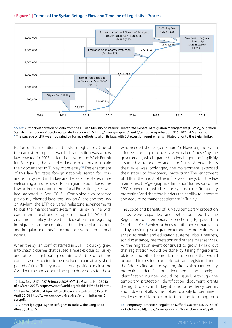



*Source*: Authors' elaboration on data from the Turkish Ministry of Interior: Directorate General of Migration Management (DGMM), Migration Statistics: Temporary Protection, updated 28 June 2016, [http://www.goc.gov.tr/icerik6/temporary-protection\\_915\\_1024\\_4748\\_icerik](http://www.goc.gov.tr/icerik6/temporary-protection_915_1024_4748_icerik). \* The passage of LFIP was motivated by Turkey's efforts to align its laws with EU accession requirements initiated prior to the Syrian influx.

isation of its migration and asylum legislation. One of the earliest examples towards this direction was a new law, enacted in 2003, called the Law on the Work Permit for Foreigners, that enabled labour migrants to obtain their documents in Turkey more easily.<sup>10</sup> The enactment of this law facilitates foreign nationals' search for work and employment in Turkey and heralds the state's more welcoming attitude towards its migrant labour force. The Law on Foreigners and International Protection (LFIP) was later adopted in April 2013.<sup>11</sup> Combining two separate previously planned laws, the Law on Aliens and the Law on Asylum, the LFIP delivered milestone advancements to put the management system in Turkey in line with core international and European standards.12 With this enactment, Turkey showed its dedication to integrating immigrants into the country and treating asylum seekers and irregular migrants in accordance with international norms.

When the Syrian conflict started in 2011, it quickly grew into chaotic clashes that caused a mass exodus to Turkey and other neighbouring countries. At the onset, the conflict was expected to be resolved in a relatively short period of time. Turkey took a strong position against the Assad regime and adopted an open door policy for those

10 Law No. 4817 of 27 February 2003 (Official Gazette No. 25040 of 6 March 2003),<http://www.refworld.org/docid/4496b3d44.html>.

11 Law No. 6458 of 4 April 2013 (Official Gazette No. 28615 of 11 April 2013), [http://www.goc.gov.tr/files/files/eng\\_minikanun\\_5\\_](http://www.goc.gov.tr/files/files/eng_minikanun_5_son.pdf) [son.pdf.](http://www.goc.gov.tr/files/files/eng_minikanun_5_son.pdf)

12 Ahmet İçduygu, "Syrian Refugees in Turkey. The Long Road Ahead", cit., p. 6.

who needed shelter (see Figure 1). However, the Syrian refugees coming into Turkey were called "guests" by the government, which granted no legal right and implicitly assumed a "temporary and short" stay. Afterwards, as their exile was prolonged, the government extended their status to "temporary protection." The enactment of LFIP in the midst of the influx was timely, but the law maintained the "geographical limitation" framework of the 1951 Convention, which keeps Syrians under "temporary protection" and therefore hinders their ability to integrate and acquire permanent settlement in Turkey.

The scope and benefits of Turkey's temporary protection status were expanded and better outlined by the Regulation on Temporary Protection (TP) passed in October 2014,13 which further strengthened humanitarian aid by providing those granted temporary protection with access to health and education systems, labour markets, social assistance, interpretation and other similar services. As the migration event continued to grow, TP laid out that registration would be done by taking fingerprints, pictures and other biometric measurements that would be added to existing biometric data and registered under the Address Registration system, after which a temporary protection identification document and foreigner identification number would be issued. Although the temporary protection identification document grants the right to stay in Turkey, it is not a residency permit, and it does not allow the holder to apply for permanent residency or citizenship or to transition to a long-term

13 Temporary Protection Regulation (Official Gazette No. 29153 of 22 October 2014), [http://www.goc.gov.tr/files/\\_dokuman28.pdf.](http://www.goc.gov.tr/files/_dokuman28.pdf)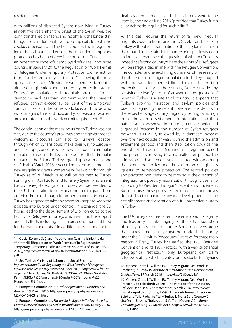#### residence permit.

With millions of displaced Syrians now living in Turkey almost five years after the onset of the Syrian war, the conflict in the region has no end in sight, and the longer stay brings its own additional layers of complexity for both the displaced persons and the host country. The integration into the labour market of those under temporary protection has been of growing concern, as Turkey faces an increased number of unemployed refugees living in the country. In January 2016, the Regulation on Work Permit of Refugees Under Temporary Protection took effect for those "under temporary protection,"14 allowing them to apply to the Labour Ministry for work permits six months after their registration under temporary protection status. Some of the stipulations of the regulation are that refugees cannot be paid less than minimum wage; the share of refugees cannot exceed 10 per cent of the employed Turkish citizens in the same workplace; and those who work in agriculture and husbandry as seasonal workers are exempted from the work permit requirements.<sup>15</sup>

The continuation of the mass incursion to Turkey was not only due to the country's proximity and the government's welcoming discourse but also to Turkey's location through which Syrians could make their way to Europe – and in Europe, concerns were growing about the irregular migration through Turkey. In order to limit irregular migration, the EU and Turkey agreed upon a "one in, one out" deal in March 2016.16 According to the agreement, all new irregular migrants who arrive in Greek islands through Turkey as of 20 March 2016 will be returned to Turkey starting on 4 April 2016, and for every Syrian who is sent back, one registered Syrian in Turkey will be resettled to the EU. The deal aims to deter unauthorised migrants from entering Europe through improper channels. Moreover, Turkey has agreed to take any necessary steps to keep the passage into Europe under control. In exchange, the EU has agreed to the disbursement of 3 billion euros to the Facility for Refugees in Turkey, which will fund the support and aid efforts including healthcare, education and food for the Syrian migrants.<sup>17</sup> In addition, in exchange for this

14 Geçici Koruma Sağlanan Yabancıların Çalışma İzinlerine dair Yönetmelik [Regulation on Work Permits of Refugees under Temporary Protection] (Official Gazette No. 29594 of 15 January 2016), [http://www.mevzuat.gov.tr/MevzuatMetin/3.5.20168375.](http://www.mevzuat.gov.tr/MevzuatMetin/3.5.20168375.pdf) [pdf.](http://www.mevzuat.gov.tr/MevzuatMetin/3.5.20168375.pdf)

15 See Turkish Ministry of Labour and Social Security, *Implementation Guide Regarding the Work Permits of Foreigners Provided with Temporary Protection*, April 2016, [http://www.fta-intl.](http://www.fta-intl.org/sites/default/files/%C3%87SGB%20Guide%20-%20Work%20Permit%20for%20Foreigners%20under%20Temporary%20Protection_EN_0.pdf) [org/sites/default/files/%C3%87SGB%20Guide%20-%20Work%20](http://www.fta-intl.org/sites/default/files/%C3%87SGB%20Guide%20-%20Work%20Permit%20for%20Foreigners%20under%20Temporary%20Protection_EN_0.pdf) [Permit%20for%20Foreigners%20under%20Temporary%20](http://www.fta-intl.org/sites/default/files/%C3%87SGB%20Guide%20-%20Work%20Permit%20for%20Foreigners%20under%20Temporary%20Protection_EN_0.pdf) [Protection\\_EN\\_0.pdf](http://www.fta-intl.org/sites/default/files/%C3%87SGB%20Guide%20-%20Work%20Permit%20for%20Foreigners%20under%20Temporary%20Protection_EN_0.pdf).

16 European Commission, *EU-Turkey Agreement: Questions and Answers*, 19 March 2016, [http://europa.eu/rapid/press-release\\_](http://europa.eu/rapid/press-release_MEMO-16-963_en.htm) [MEMO-16-963\\_en.htm](http://europa.eu/rapid/press-release_MEMO-16-963_en.htm).

17 European Commission, *Facility for Refugees in Turkey - Steering Committee Accelerates and Scales up Implementation*, 12 May 2016, [http://europa.eu/rapid/press-release\\_IP-16-1728\\_en.htm](http://europa.eu/rapid/press-release_IP-16-1728_en.htm).

deal, visa requirements for Turkish citizens were to be lifted by the end of June 2016, "provided that Turkey fulfils all benchmarks required for such a lift."<sup>18</sup>

As this deal requires the return of "all new irregular migrants crossing from Turkey into Greek islands" back to Turkey without full examination of their asylum claims on the grounds of the safe third country principle, it has led to an intense debate over the question of whether Turkey is indeed a safe third country where the rights of all refugees will be safeguarded in line with the Refugee Convention. The complex and ever-shifting dynamics of the reality of the three million refugee population in Turkey, coupled with the well-documented limitations of the existing protection capacity in the country, fail to provide any satisfyingly clear "yes or no" answer to the question of whether Turkey is a safe third country. It appears that Turkey's evolving migration and asylum policies and practices regarding the recent flows are consistent with the expected stages of any migratory setting, which go from admission to settlement to integration and then naturalisation. As shown in Figure 1, Turkey experienced a gradual increase in the number of Syrian refugees between 2011-2013, followed by a dramatic increase over the next couple of years during the admission and settlement periods, and then stabilisation towards the end of 2015 through 2016 during an integration period and potentially moving to a naturalisation period. The admission and settlement stages started with adopting the open door policy and the extension of rights as "guests" to "temporary protection." The related policies and practices now seem to be moving in the direction of integration and possibly naturalisation through citizenship according to President Erdoğan's recent announcement. But, of course, these policy-related discourses and moves do not directly guarantee any real developments for the establishment and operation of a full protection system in Turkey.

The EU-Turkey deal has raised concerns about its legality and feasibility, mainly hinging on the EU's assumption of Turkey as a safe third country. Some observers argue that Turkey is not legally speaking a safe third country under the EU Asylum Procedures Directive for three main reasons.<sup>19</sup> Firstly, Turkey has ratified the 1951 Refugee Convention and its 1967 Protocol with a very substantial geographical restriction: only Europeans can claim refugee status, which creates an obstacle for Syrians

18 Vincent Chetail, "Will the EU-Turkey Migrant Deal Work in Practice?", in *Graduate Institute of International and Development Studies News*, 29 March 2016,<https://t.co/3vDyeJb8o1>.

19 Vincent Chetail, "Will the EU-Turkey Migrant Deal Work in Practice?", cit.; Elizabeth Collett, "The Paradox of the EU-Turkey Refugee Deal", in *MPI Commentaries*, March 2016, [http://www.](http://www.migrationpolicy.org/node/15595) [migrationpolicy.org/node/15595](http://www.migrationpolicy.org/node/15595); Emanuela Roman, Theodore Baird and Talia Radcliffe, "Why Turkey Is Not a 'Safe Country'", cit.; Orçun Ulusoy, "Turkey as a Safe Third Country?", in *Border Criminologies* Blog, 29 March 2016, [https://www.law.ox.ac.uk/](https://www.law.ox.ac.uk/node/12866) [node/12866.](https://www.law.ox.ac.uk/node/12866)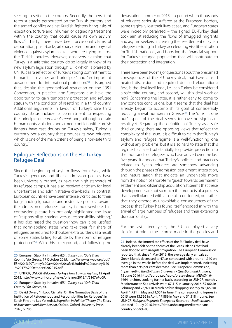seeking to settle in the country. Secondly, the persistent terrorist attacks perpetrated on the Turkish territory and the armed conflict against Kurdish fighters bring risks of execution, torture and inhuman or degrading treatment within the country that could cause its own asylum flows.<sup>20</sup> Thirdly, there have been occasional claims of deportation, push-backs, arbitrary detention and physical violence against asylum-seekers who are trying to cross the Turkish borders. However, observers claiming that Turkey is a safe third country do so largely in view of its new asylum legislation through LFIP, which is praised by UNHCR as "a reflection of Turkey's strong commitment to humanitarian values and principles" and "an important advancement for international protection."<sup>21</sup> It is argued that, despite the geographical restriction on the 1951 Convention, in practice, non-Europeans also have the opportunity to gain temporary protection and refugee status with the condition of resettling in a third country. Additional arguments in favour of Turkey's safe third country status include its commitment to respecting the principle of *non-refoulement* and, although certain human rights violations and armed-conflicts with Kurdish fighters have cast doubts on Turkey's safety, Turkey is currently not a country that produces its own refugees, which is one of the main criteria of being a non-safe third country.22

#### Epilogue: Reflections on the EU-Turkey Refugee Deal

Since the beginning of asylum flows from Syria, while Turkey's generous and liberal admission policies have been universally praised, as have the high standards of its refugee camps, it has also received criticism for legal uncertainties and administrative drawbacks. In contrast, European countries have been intensely criticised for their longstanding ignorance and restrictive policies towards the admission of refugees from Syria and elsewhere. This contrasting picture has not only highlighted the issue of "responsibility sharing versus responsibility shifting," it has also raised the question "how can it be justified that norm-abiding states who take their fair share of refugees be required to shoulder extra burdens as a result of some states failing to abide by the norm of refugee protection?"23 With this background, and following the

20 European Stability Initiative (ESI), *Turkey as a "Safe Third Country" for Greece*, 17 October 2015, [http://www.esiweb.org/pdf/](http://www.esiweb.org/pdf/ESI%20-%20Turkey%20as%20a%20safe%20third%20country%20-%2017%20October%202015.pdf) [ESI%20-%20Turkey%20as%20a%20safe%20third%20country%20](http://www.esiweb.org/pdf/ESI%20-%20Turkey%20as%20a%20safe%20third%20country%20-%2017%20October%202015.pdf) [-%2017%20October%202015.pdf.](http://www.esiweb.org/pdf/ESI%20-%20Turkey%20as%20a%20safe%20third%20country%20-%2017%20October%202015.pdf)

21 UNHCR, *UNHCR Welcomes Turkey's New Law on Asylum*, 12 April 2013, [http://www.unhcr.org/news/briefing/2013/4/5167e7d09.](http://www.unhcr.org/news/briefing/2013/4/5167e7d09)

22 European Stability Initiative (ESI), *Turkey as a "Safe Third Country" for Greece*, cit.

23 David Owen, "In Loco Civitatis. On the Normative Basis of the Institution of Refugeehood and Responsibilities for Refugees", in Sarah Fine and Lea Ypi (eds.), *Migration in Political Theory. The Ethics of Movement and Membership*, Oxford, Oxford University Press, 2016, p. 286.

devastating summer of 2015 – a period when thousands of refugees seriously suffered at the European borders, some tragically lost their lives at sea, and European states were incredibly paralysed – the signed EU-Turkey deal took aim at reducing the flows of smuggled migrants and asylum seekers, increasing the resettlement of Syrian refugees residing in Turkey, accelerating visa liberalisation for Turkish nationals, and boosting the financial support for Turkey's refugee population that will contribute to their protection and integration.

There have been two major questions about the presumed consequences of the EU-Turkey deal, that have caused heated discussion and required detailed elaborations: first, is the deal itself legal, i.e., can Turkey be considered a safe third country, and second, will this deal work or not? Concerning the latter, it is rather early to come to any concrete conclusions, but it seems that the deal has already begun to accomplish its goal of considerably reducing arrival numbers in Greece.<sup>24</sup> The "one in, one out" aspect of the deal seems to have no significant result yet. Regarding the definition of Turkey as a safe third country, there are opposing views that reflect the complexity of the issue. It is difficult to claim that Turkey's asylum and refugee regime is a well-functioning one without any problems, but it is also hard to state that this regime has failed substantially to provide protection to the thousands of refugees who have arrived over the last five years. It appears that Turkey's policies and practices related to Syrian refugees are somehow advancing through the phases of admission, settlement, integration, and naturalisation that indicate an undeniable move from the notion of short-term "guest" towards permanent settlement and citizenship acquisition. It seems that these developments are not so much the products of a process that is well planned with all details considered, but rather that they emerge as unavoidable consequences of the process that Turkey has found itself engaged in with the arrival of large numbers of refugees and their extending duration of stay.

For the last fifteen years, the EU has played a very significant role in the reforms made in the policies and

24 Indeed, the immediate effects of the EU-Turkey deal have already been felt on the shores of the Greek Islands that had been flooded with irregular migration. The European Commission reported that, since 1 May 2016, the average daily arrivals at Greek Islands decreased to 47, as contrasted with around 1,740 on average in the weeks before the deal was implemented, indicating more than a 95 per cent decrease. See European Commission, *Implementing the EU-Turkey Statement - Questions and Answers*, 15 June 2016, [http://europa.eu/rapid/press-release\\_MEMO-16-](http://europa.eu/rapid/press-release_MEMO-16-1664_en.htm) [1664\\_en.htm.](http://europa.eu/rapid/press-release_MEMO-16-1664_en.htm) Looking further back, according to UNHCR, monthly Mediterranean Sea arrivals were 67,415 in January 2016, 57,066 in February and 26,971 in March before dropping sharply to 3,650 in April, 1,721 in May and 1,554 in June. The corresponding figures in 2015 were 13,556 in April, 17,889 in May and 31,318 in June. See UNHCR, *Refugees/Migrants Emergency Response - Mediterranean*, updated 10 July 2016, [http://data.unhcr.org/mediterranean/](http://data.unhcr.org/mediterranean/country.php?id=83) [country.php?id=83.](http://data.unhcr.org/mediterranean/country.php?id=83)